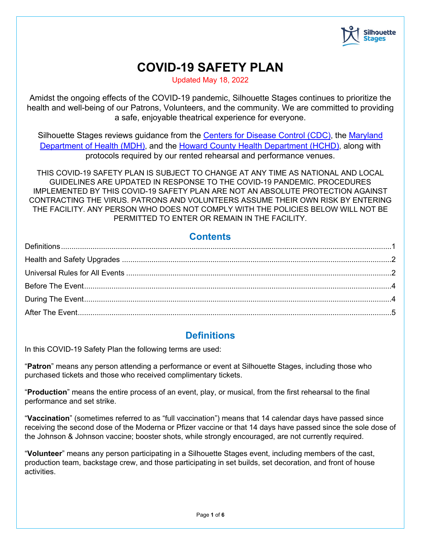

# **COVID-19 SAFETY PLAN**

Updated May 18, 2022

Amidst the ongoing effects of the COVID-19 pandemic, Silhouette Stages continues to prioritize the health and well-being of our Patrons, Volunteers, and the community. We are committed to providing a safe, enjoyable theatrical experience for everyone.

Silhouette Stages reviews guidance from the [Centers for Disease Control \(CDC\),](https://www.cdc.gov/) the [Maryland](https://health.maryland.gov/) [Department of Health \(MDH\),](https://health.maryland.gov/) and the [Howard County Health Department \(HCHD\),](https://www.howardcountymd.gov/health) along with protocols required by our rented rehearsal and performance venues.

THIS COVID-19 SAFETY PLAN IS SUBJECT TO CHANGE AT ANY TIME AS NATIONAL AND LOCAL GUIDELINES ARE UPDATED IN RESPONSE TO THE COVID-19 PANDEMIC. PROCEDURES IMPLEMENTED BY THIS COVID-19 SAFETY PLAN ARE NOT AN ABSOLUTE PROTECTION AGAINST CONTRACTING THE VIRUS. PATRONS AND VOLUNTEERS ASSUME THEIR OWN RISK BY ENTERING THE FACILITY. ANY PERSON WHO DOES NOT COMPLY WITH THE POLICIES BELOW WILL NOT BE PERMITTED TO ENTER OR REMAIN IN THE FACILITY.

### **Contents**

## **Definitions**

<span id="page-0-0"></span>In this COVID-19 Safety Plan the following terms are used:

"**Patron**" means any person attending a performance or event at Silhouette Stages, including those who purchased tickets and those who received complimentary tickets.

"**Production**" means the entire process of an event, play, or musical, from the first rehearsal to the final performance and set strike.

"**Vaccination**" (sometimes referred to as "full vaccination") means that 14 calendar days have passed since receiving the second dose of the Moderna or Pfizer vaccine or that 14 days have passed since the sole dose of the Johnson & Johnson vaccine; booster shots, while strongly encouraged, are not currently required.

"**Volunteer**" means any person participating in a Silhouette Stages event, including members of the cast, production team, backstage crew, and those participating in set builds, set decoration, and front of house activities.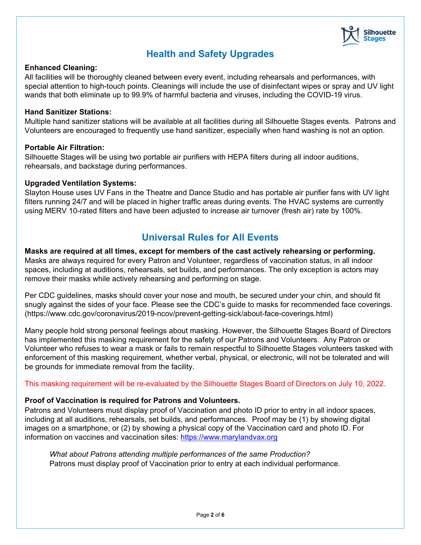

## **Health and Safety Upgrades**

#### <span id="page-1-0"></span>**Enhanced Cleaning:**

All facilities will be thoroughly cleaned between every event, including rehearsals and performances, with special attention to high-touch points. Cleanings will include the use of disinfectant wipes or spray and UV light wands that both eliminate up to 99.9% of harmful bacteria and viruses, including the COVID-19 virus.

#### **Hand Sanitizer Stations:**

Multiple hand sanitizer stations will be available at all facilities during all Silhouette Stages events. Patrons and Volunteers are encouraged to frequently use hand sanitizer, especially when hand washing is not an option.

#### **Portable Air Filtration:**

Silhouette Stages will be using two portable air purifiers with HEPA filters during all indoor auditions, rehearsals, and backstage during performances.

#### **Upgraded Ventilation Systems:**

Slayton House uses UV Fans in the Theatre and Dance Studio and has portable air purifier fans with UV light filters running 24/7 and will be placed in higher traffic areas during events. The HVAC systems are currently using MERV 10-rated filters and have been adjusted to increase air turnover (fresh air) rate by 100%.

## **Universal Rules for All Events**

<span id="page-1-1"></span>**Masks are required at all times, except for members of the cast actively rehearsing or performing.** Masks are always required for every Patron and Volunteer, regardless of vaccination status, in all indoor spaces, including at auditions, rehearsals, set builds, and performances. The only exception is actors may remove their masks while actively rehearsing and performing on stage.

Per CDC guidelines, masks should cover your nose and mouth, be secured under your chin, and should fit snugly against the sides of your face. Please see the CDC's guide to masks for recommended face coverings. (https://www.cdc.gov/coronavirus/2019-ncov/prevent-getting-sick/about-face-coverings.html)

Many people hold strong personal feelings about masking. However, the Silhouette Stages Board of Directors has implemented this masking requirement for the safety of our Patrons and Volunteers. Any Patron or Volunteer who refuses to wear a mask or fails to remain respectful to Silhouette Stages volunteers tasked with enforcement of this masking requirement, whether verbal, physical, or electronic, will not be tolerated and will be grounds for immediate removal from the facility.

This masking requirement will be re-evaluated by the Silhouette Stages Board of Directors on July 10, 2022.

#### **Proof of Vaccination is required for Patrons and Volunteers.**

Patrons and Volunteers must display proof of Vaccination and photo ID prior to entry in all indoor spaces, including at all auditions, rehearsals, set builds, and performances. Proof may be (1) by showing digital images on a smartphone, or (2) by showing a physical copy of the Vaccination card and photo ID. For information on vaccines and vaccination sites: [https://www.marylandvax.org](https://www.marylandvax.org/)

*What about Patrons attending multiple performances of the same Production?* Patrons must display proof of Vaccination prior to entry at each individual performance.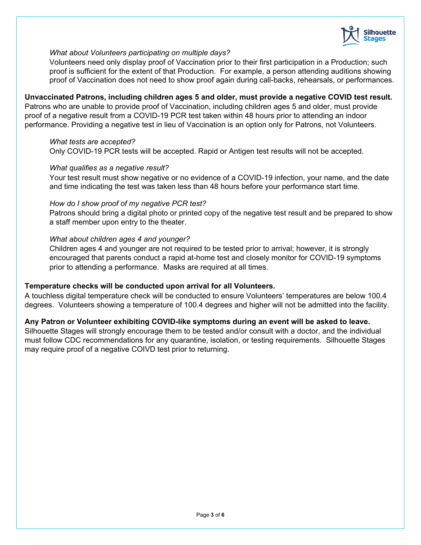

#### *What about Volunteers participating on multiple days?*

Volunteers need only display proof of Vaccination prior to their first participation in a Production; such proof is sufficient for the extent of that Production. For example, a person attending auditions showing proof of Vaccination does not need to show proof again during call-backs, rehearsals, or performances.

#### **Unvaccinated Patrons, including children ages 5 and older, must provide a negative COVID test result.**

Patrons who are unable to provide proof of Vaccination, including children ages 5 and older, must provide proof of a negative result from a COVID-19 PCR test taken within 48 hours prior to attending an indoor performance. Providing a negative test in lieu of Vaccination is an option only for Patrons, not Volunteers.

#### *What tests are accepted?*

Only COVID-19 PCR tests will be accepted. Rapid or Antigen test results will not be accepted.

#### *What qualifies as a negative result?*

Your test result must show negative or no evidence of a COVID-19 infection, your name, and the date and time indicating the test was taken less than 48 hours before your performance start time.

#### *How do I show proof of my negative PCR test?*

Patrons should bring a digital photo or printed copy of the negative test result and be prepared to show a staff member upon entry to the theater.

#### *What about children ages 4 and younger?*

Children ages 4 and younger are not required to be tested prior to arrival; however, it is strongly encouraged that parents conduct a rapid at-home test and closely monitor for COVID-19 symptoms prior to attending a performance. Masks are required at all times.

#### **Temperature checks will be conducted upon arrival for all Volunteers.**

A touchless digital temperature check will be conducted to ensure Volunteers' temperatures are below 100.4 degrees. Volunteers showing a temperature of 100.4 degrees and higher will not be admitted into the facility.

#### **Any Patron or Volunteer exhibiting COVID-like symptoms during an event will be asked to leave.**

Silhouette Stages will strongly encourage them to be tested and/or consult with a doctor, and the individual must follow CDC recommendations for any quarantine, isolation, or testing requirements. Silhouette Stages may require proof of a negative COIVD test prior to returning.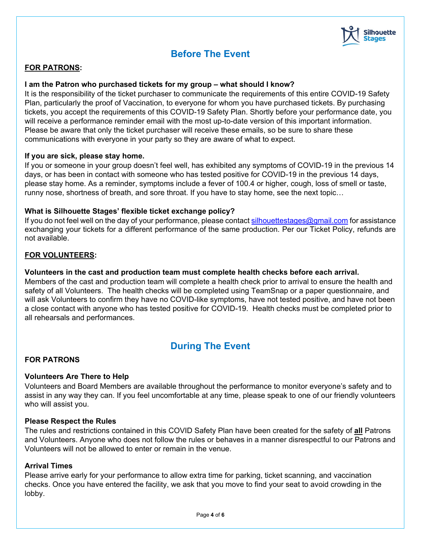

## **Before The Event**

#### <span id="page-3-0"></span>**FOR PATRONS:**

#### **I am the Patron who purchased tickets for my group – what should I know?**

It is the responsibility of the ticket purchaser to communicate the requirements of this entire COVID-19 Safety Plan, particularly the proof of Vaccination, to everyone for whom you have purchased tickets. By purchasing tickets, you accept the requirements of this COVID-19 Safety Plan. Shortly before your performance date, you will receive a performance reminder email with the most up-to-date version of this important information. Please be aware that only the ticket purchaser will receive these emails, so be sure to share these communications with everyone in your party so they are aware of what to expect.

#### **If you are sick, please stay home.**

If you or someone in your group doesn't feel well, has exhibited any symptoms of COVID-19 in the previous 14 days, or has been in contact with someone who has tested positive for COVID-19 in the previous 14 days, please stay home. As a reminder, symptoms include a fever of 100.4 or higher, cough, loss of smell or taste, runny nose, shortness of breath, and sore throat. If you have to stay home, see the next topic…

#### **What is Silhouette Stages' flexible ticket exchange policy?**

If you do not feel well on the day of your performance, please contact silhouettestages@gmail.com for assistance exchanging your tickets for a different performance of the same production. Per our Ticket Policy, refunds are not available.

#### **FOR VOLUNTEERS:**

#### **Volunteers in the cast and production team must complete health checks before each arrival.**

Members of the cast and production team will complete a health check prior to arrival to ensure the health and safety of all Volunteers. The health checks will be completed using TeamSnap or a paper questionnaire, and will ask Volunteers to confirm they have no COVID-like symptoms, have not tested positive, and have not been a close contact with anyone who has tested positive for COVID-19. Health checks must be completed prior to all rehearsals and performances.

## **During The Event**

#### <span id="page-3-1"></span>**FOR PATRONS**

#### **Volunteers Are There to Help**

Volunteers and Board Members are available throughout the performance to monitor everyone's safety and to assist in any way they can. If you feel uncomfortable at any time, please speak to one of our friendly volunteers who will assist you.

#### **Please Respect the Rules**

The rules and restrictions contained in this COVID Safety Plan have been created for the safety of **all** Patrons and Volunteers. Anyone who does not follow the rules or behaves in a manner disrespectful to our Patrons and Volunteers will not be allowed to enter or remain in the venue.

#### **Arrival Times**

Please arrive early for your performance to allow extra time for parking, ticket scanning, and vaccination checks. Once you have entered the facility, we ask that you move to find your seat to avoid crowding in the lobby.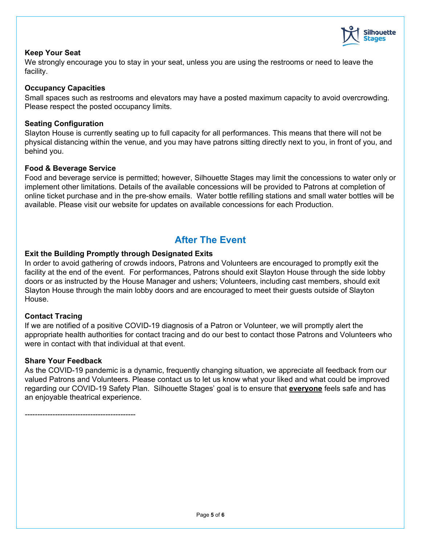

#### **Keep Your Seat**

We strongly encourage you to stay in your seat, unless you are using the restrooms or need to leave the facility.

#### **Occupancy Capacities**

Small spaces such as restrooms and elevators may have a posted maximum capacity to avoid overcrowding. Please respect the posted occupancy limits.

#### **Seating Configuration**

Slayton House is currently seating up to full capacity for all performances. This means that there will not be physical distancing within the venue, and you may have patrons sitting directly next to you, in front of you, and behind you.

#### **Food & Beverage Service**

Food and beverage service is permitted; however, Silhouette Stages may limit the concessions to water only or implement other limitations. Details of the available concessions will be provided to Patrons at completion of online ticket purchase and in the pre-show emails. Water bottle refilling stations and small water bottles will be available. Please visit our website for updates on available concessions for each Production.

## **After The Event**

#### <span id="page-4-0"></span>**Exit the Building Promptly through Designated Exits**

In order to avoid gathering of crowds indoors, Patrons and Volunteers are encouraged to promptly exit the facility at the end of the event. For performances, Patrons should exit Slayton House through the side lobby doors or as instructed by the House Manager and ushers; Volunteers, including cast members, should exit Slayton House through the main lobby doors and are encouraged to meet their guests outside of Slayton House.

#### **Contact Tracing**

If we are notified of a positive COVID-19 diagnosis of a Patron or Volunteer, we will promptly alert the appropriate health authorities for contact tracing and do our best to contact those Patrons and Volunteers who were in contact with that individual at that event.

#### **Share Your Feedback**

As the COVID-19 pandemic is a dynamic, frequently changing situation, we appreciate all feedback from our valued Patrons and Volunteers. Please contact us to let us know what your liked and what could be improved regarding our COVID-19 Safety Plan. Silhouette Stages' goal is to ensure that **everyone** feels safe and has an enjoyable theatrical experience.

*--------------------------------------------*